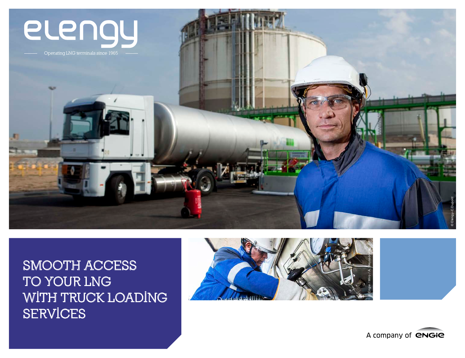

### **SMOOTH ACCESS TO YOUR LNG WITH TRUCK LOADING SERVICES**



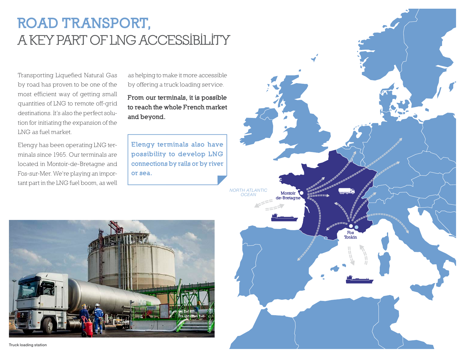# ROAD TRANSPORT, **A KEY PART OF LNG ACCESSIBILITY**

Transporting Liquefied Natural Gas by road has proven to be one of the most efficient way of getting small quantities of LNG to remote off-grid destinations. It's also the perfect solution for initiating the expansion of the LNG as fuel market.

Elengy has been operating LNG terminals since 1965. Our terminals are located in Montoir-de-Bretagne and Fos-sur-Mer. We're playing an important part in the LNG fuel boom, as well

as helping to make it more accessible by offering a truck loading service.

From our terminals, it is possible to reach the whole French market and beyond.

Elengy terminals also have possibility to develop LNG connections by rails or by river or sea.



Montoir<sup>1</sup> de-Bretagne *NORTH ATLANTIC OCEAN* Fos Tonkin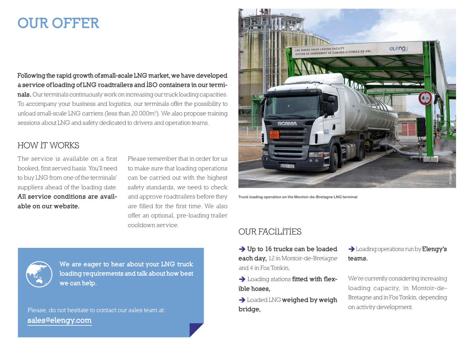## OUR OFFER

Following the rapid growth of small-scale LNG market, we have developed a service of loading of LNG roadtrailers and ISO containers in our terminals. Our terminals continuously work on increasing our truck loading capacities. To accompany your business and logistics, our terminals offer the possibility to unload small-scale LNG carriers (less than 20 000m<sup>3</sup>). We also propose training sessions about LNG and safety dedicated to drivers and operation teams.

### **HOW IT WORKS**

The service is available on a first booked, first served basis. You'll need to buy LNG from one of the terminals' suppliers ahead of the loading date. All service conditions are available on our website.

Please remember that in order for us to make sure that loading operations can be carried out with the highest safety standards, we need to check and approve roadtrailers before they are filled for the first time. We also offer an optional, pre-loading trailer cooldown service.



We are eager to hear about your LNG truck loading requirements and talk about how best we can help.

**Please, do not hesitate to contact our sales team at:**  sales@elengy.com



Truck loading operation on the Montoir-de-Bretagne LNG terminal

#### **OUR FACILITIES**

- $\rightarrow$  Up to 16 trucks can be loaded each day, 12 in Montoir-de-Bretagne and 4 in Fos Tonkin,
- $\rightarrow$  Loading stations fitted with flexible hoses,
- $\rightarrow$  Loaded LNG weighed by weigh bridge,

 $\rightarrow$  Loading operations run by **Elengy's** teams.

We're currently considering increasing loading capacity, in Montoir-de-Bretagne and in Fos Tonkin, depending on activity development.